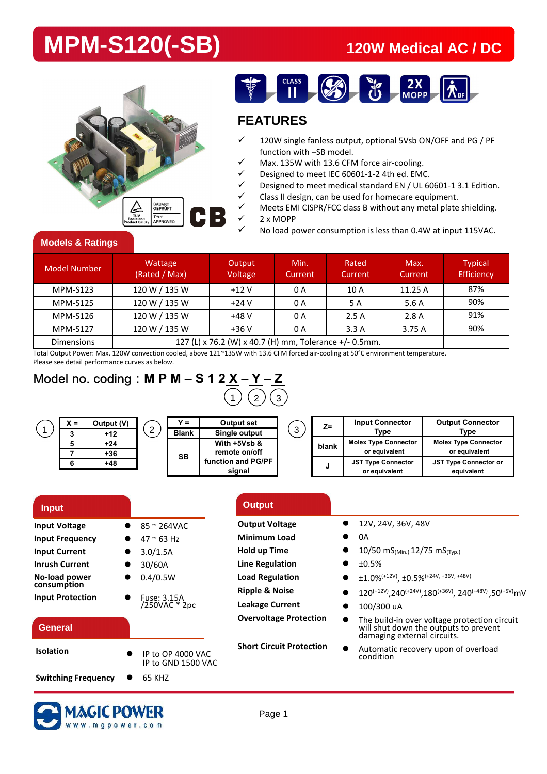## **MPM-S120(-SB) 120W Medical AC / DC**

Ï





### **FEATURES**

- 120W single fanless output, optional 5Vsb ON/OFF and PG / PF function with –SB model.
- Max. 135W with 13.6 CFM force air-cooling.
- $\checkmark$  Designed to meet IEC 60601-1-2 4th ed. EMC.
- $\checkmark$  Designed to meet medical standard EN / UL 60601-1 3.1 Edition.
- Class II design, can be used for homecare equipment.
- $\checkmark$  Meets EMI CISPR/FCC class B without any metal plate shielding.<br> $\checkmark$  2 x MOPP 2 x MOPP
	- No load power consumption is less than 0.4W at input 115VAC.

#### **Models & Ratings**

| Model Number      | Wattage<br>(Rated / Max)                               | Output<br>Voltage | Min.<br>Current | Rated<br>Current | Max.<br>Current | <b>Typical</b><br>Efficiency |
|-------------------|--------------------------------------------------------|-------------------|-----------------|------------------|-----------------|------------------------------|
| <b>MPM-S123</b>   | 120 W / 135 W                                          | $+12V$            | 0 A             | 10A              | 11.25A          | 87%                          |
| <b>MPM-S125</b>   | 120 W / 135 W                                          | $+24V$            | 0 A             | 5 A              | 5.6 A           | 90%                          |
| <b>MPM-S126</b>   | 120 W / 135 W                                          | $+48V$            | 0 A             | 2.5A             | 2.8A            | 91%                          |
| <b>MPM-S127</b>   | 120 W / 135 W                                          | $+36V$            | 0 A             | 3.3A             | 3.75 A          | 90%                          |
| <b>Dimensions</b> | 127 (L) x 76.2 (W) x 40.7 (H) mm, Tolerance +/- 0.5mm. |                   |                 |                  |                 |                              |

Total Output Power: Max. 120W convection cooled, above 121~135W with 13.6 CFM forced air-cooling at 50°C environment temperature. Please see detail performance curves as below.

1

### Model no. coding:**M P M – S 1 2 X – Y – Z**

| * = ∶ | Output (V) | ົ | Y =                | <b>Output set</b> | ◠ | $Z =$ | <b>Input Connector</b>      | <b>Output Connector</b>     |
|-------|------------|---|--------------------|-------------------|---|-------|-----------------------------|-----------------------------|
|       | +12        |   | <b>Blank</b>       | Single output     | ں |       | Type                        | Type                        |
|       | $+24$      |   |                    | With +5Vsb &      |   | blank | <b>Molex Type Connector</b> | <b>Molex Type Connector</b> |
|       | +36        |   | <b>SB</b>          | remote on/off     |   |       | or equivalent               | or equivalent               |
|       | +48        |   | function and PG/PF |                   |   |       | <b>JST Type Connector</b>   | JST Type Connector or       |
|       |            |   |                    | sianal            |   |       | or equivalent               | equivalent                  |

2 ) ( 3

| <b>Input</b>               |                                         | <b>Output</b>                   |                                                                                                                      |
|----------------------------|-----------------------------------------|---------------------------------|----------------------------------------------------------------------------------------------------------------------|
| <b>Input Voltage</b>       | $85 \approx 264$ VAC<br>$\bullet$       | <b>Output Voltage</b>           | 12V, 24V, 36V, 48V                                                                                                   |
| <b>Input Frequency</b>     | $47 \approx 63$ Hz<br>$\bullet$         | <b>Minimum Load</b>             | 0A<br>$\bullet$                                                                                                      |
| <b>Input Current</b>       | 3.0/1.5A<br>$\bullet$                   | Hold up Time                    | 10/50 mS <sub>(Min.)</sub> 12/75 mS <sub>(Typ.)</sub>                                                                |
| <b>Inrush Current</b>      | 30/60A<br>$\bullet$                     | <b>Line Regulation</b>          | ±0.5%<br>$\bullet$                                                                                                   |
| No-load power              | 0.4/0.5W<br>$\bullet$                   | <b>Load Regulation</b>          | $\pm 1.0\%$ <sup>(+12V)</sup> , $\pm 0.5\%$ <sup>(+24V, +36V, +48V)</sup>                                            |
| consumption                |                                         | <b>Ripple &amp; Noise</b>       | $120^{(+12V)}$ , 240 <sup>(+24V)</sup> , 180 <sup>(+36V)</sup> , 240 <sup>(+48V)</sup> , 50 <sup>(+5V)</sup> mV      |
| <b>Input Protection</b>    | Fuse: 3.15A<br>/250VAC * 2pc            | <b>Leakage Current</b>          | 100/300 uA                                                                                                           |
| General                    |                                         | <b>Overvoltage Protection</b>   | The build-in over voltage protection circuit<br>will shut down the outputs to prevent<br>damaging external circuits. |
| <b>Isolation</b>           | IP to OP 4000 VAC<br>IP to GND 1500 VAC | <b>Short Circuit Protection</b> | Automatic recovery upon of overload<br>condition                                                                     |
| <b>Switching Frequency</b> | 65 KHZ                                  |                                 |                                                                                                                      |

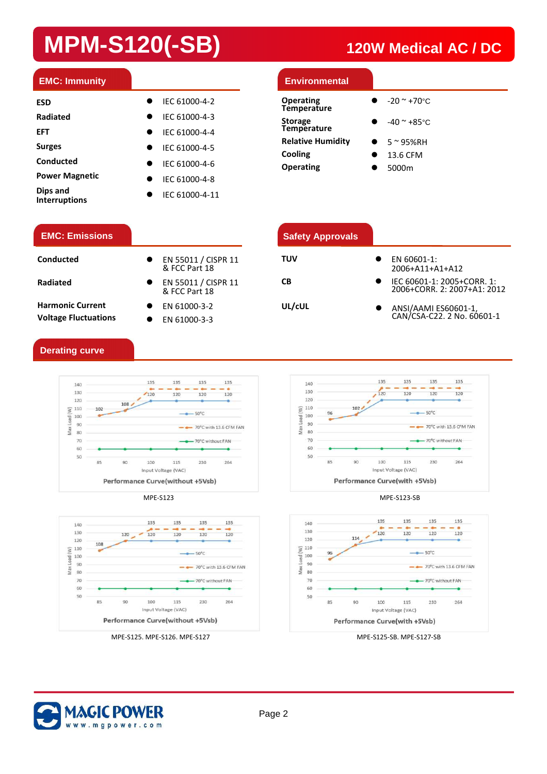## **MPM-S120(-SB) 120W Medical AC / DC**

#### **EMC: Immunity Environmental**

| <b>ESD</b>                       | IEC 61000-4-2  | <b>Operating</b><br>Temperature     |
|----------------------------------|----------------|-------------------------------------|
| Radiated                         | IEC 61000-4-3  | <b>Storage</b>                      |
| <b>EFT</b>                       | IEC 61000-4-4  | <b>Temperature</b>                  |
| <b>Surges</b>                    | IEC 61000-4-5  | <b>Relative Humidity</b><br>Cooling |
| Conducted                        | IEC 61000-4-6  | <b>Operating</b>                    |
| <b>Power Magnetic</b>            | IEC 61000-4-8  |                                     |
| Dips and<br><b>Interruptions</b> | IEC 61000-4-11 |                                     |

| __ | ,,,<br>. .<br>ν<br>-<br>$\mathcal{L}(\mathcal{L})$ and $\mathcal{L}(\mathcal{L})$ and $\mathcal{L}(\mathcal{L})$ | U<br><b>Contract Contract Contract Contract Contract Contract Contract Contract Contract Contract Contract Contract Co</b> |
|----|------------------------------------------------------------------------------------------------------------------|----------------------------------------------------------------------------------------------------------------------------|
|    |                                                                                                                  |                                                                                                                            |
|    |                                                                                                                  |                                                                                                                            |

#### **Operating Temperature Storage Temperature Relative Humidity Cooling**

 $\bullet$  $-40$  ~  $+85$ °C

 $\bullet$ 

 $\bullet$ 5 ~ 95%RH

 $-20$   $\sim$   $+70$ °C

- $\bullet$ 13.6 CFM
- $\bullet$ 5000m

#### **EMC: Emissions**

| Conducted                   |           | • EN 55011 / CISPR 11<br>& FCC Part 18 |
|-----------------------------|-----------|----------------------------------------|
| Radiated                    | $\bullet$ | EN 55011 / CISPR 11<br>& FCC Part 18   |
| <b>Harmonic Current</b>     |           | EN 61000-3-2                           |
| <b>Voltage Fluctuations</b> |           | EN 61000-3-3                           |

| <b>Safety Approvals</b> |                                                           |
|-------------------------|-----------------------------------------------------------|
| TUV                     | EN 60601-1:<br>2006+A11+A1+A12                            |
| CВ                      | IEC 60601-1: 2005+CORR. 1:<br>2006+CORR. 2: 2007+A1: 2012 |
| UL/cUL                  | ANSI/AAMI ES60601-1,<br>CAN/CSA-C22. 2 No. 60601-1        |

### **Derating curve**







MPE-S123-SB MPE-S123-SB



Ï